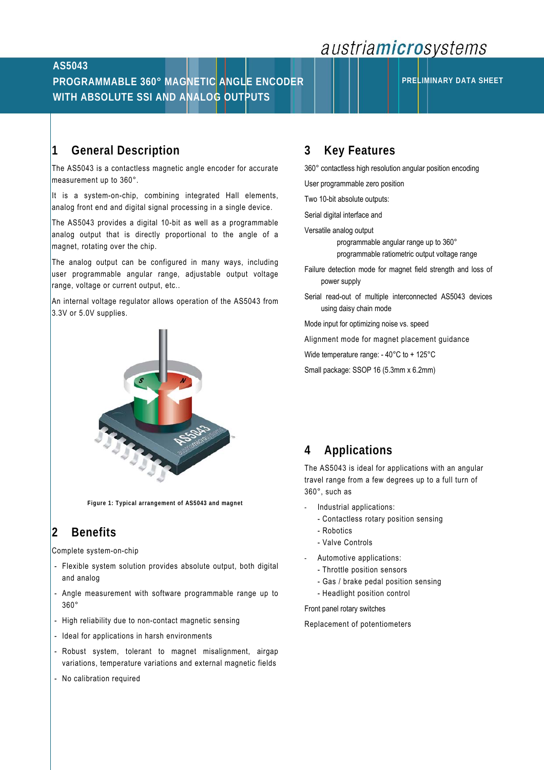# austriamicrosystems

### **AS5043**

## **PROGRAMMABLE 360° MAGNETIC ANGLE ENCODER WITH ABSOLUTE SSI AND ANALOG OUTPUTS**

### **1 General Description**

The AS5043 is a contactless magnetic angle encoder for accurate measurement up to 360°.

It is a system-on-chip, combining integrated Hall elements, analog front end and digital signal processing in a single device.

The AS5043 provides a digital 10-bit as well as a programmable analog output that is directly proportional to the angle of a magnet, rotating over the chip.

The analog output can be configured in many ways, including user programmable angular range, adjustable output voltage range, voltage or current output, etc..

An internal voltage regulator allows operation of the AS5043 from 3.3V or 5.0V supplies.



**Figure 1: Typical arrangement of AS5043 and magnet** 

# **2 Benefits**

Complete system-on-chip

- Flexible system solution provides absolute output, both digital and analog
- Angle measurement with software programmable range up to 360°
- High reliability due to non-contact magnetic sensing
- Ideal for applications in harsh environments
- Robust system, tolerant to magnet misalignment, airgap variations, temperature variations and external magnetic fields
- No calibration required

### **3 Key Features**

360° contactless high resolution angular position encoding

User programmable zero position

Two 10-bit absolute outputs:

Serial digital interface and

Versatile analog output

 programmable angular range up to 360° programmable ratiometric output voltage range

- Failure detection mode for magnet field strength and loss of power supply
- Serial read-out of multiple interconnected AS5043 devices using daisy chain mode

Mode input for optimizing noise vs. speed

Alignment mode for magnet placement guidance

Wide temperature range: - 40°C to + 125°C

Small package: SSOP 16 (5.3mm x 6.2mm)

### **4 Applications**

The AS5043 is ideal for applications with an angular travel range from a few degrees up to a full turn of 360°, such as

- Industrial applications:
	- Contactless rotary position sensing
	- Robotics
	- Valve Controls
- Automotive applications:
	- Throttle position sensors
	- Gas / brake pedal position sensing
	- Headlight position control

Front panel rotary switches

Replacement of potentiometers

**PRELIMINARY DATA SHEET**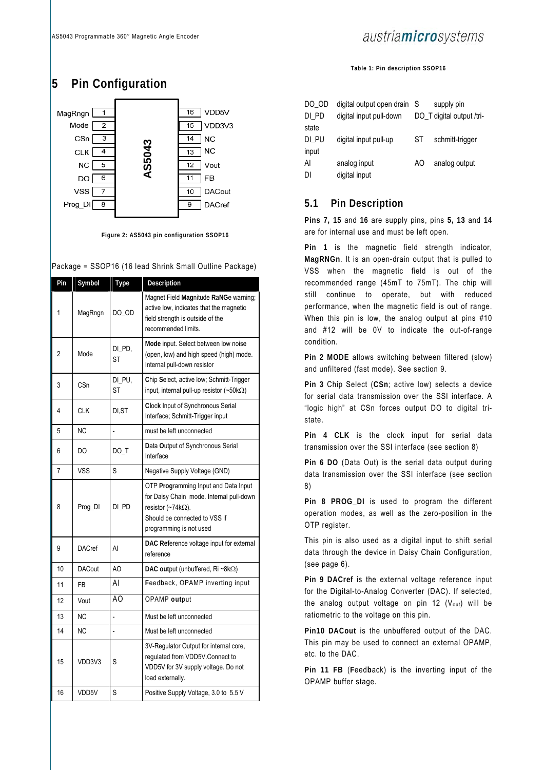## **5 Pin Configuration**



**Figure 2: AS5043 pin configuration SSOP16** 

#### Package = SSOP16 (16 lead Shrink Small Outline Package)

| Pin            | Symbol        | <b>Type</b>         | Description                                                                                                                                                                |  |  |  |
|----------------|---------------|---------------------|----------------------------------------------------------------------------------------------------------------------------------------------------------------------------|--|--|--|
| 1              | MagRngn       | DO_OD               | Magnet Field Magnitude RaNGe warning;<br>active low, indicates that the magnetic<br>field strength is outside of the<br>recommended limits.                                |  |  |  |
| $\overline{c}$ | Mode          | DI_PD,<br>ST        | Mode input. Select between low noise<br>(open, low) and high speed (high) mode.<br>Internal pull-down resistor                                                             |  |  |  |
| 3              | CSn           | DI_PU,<br><b>ST</b> | Chip Select, active low; Schmitt-Trigger<br>input, internal pull-up resistor $(\sim 50 \text{k}\Omega)$                                                                    |  |  |  |
| 4              | CLK           | DI.ST               | Clock Input of Synchronous Serial<br>Interface; Schmitt-Trigger input                                                                                                      |  |  |  |
| 5              | <b>NC</b>     | $\overline{a}$      | must be left unconnected                                                                                                                                                   |  |  |  |
| 6              | DO            | $DO_T$              | Data Output of Synchronous Serial<br>Interface                                                                                                                             |  |  |  |
| 7              | VSS           | S                   | Negative Supply Voltage (GND)                                                                                                                                              |  |  |  |
| 8              | Prog_DI       | DI_PD               | OTP Programming Input and Data Input<br>for Daisy Chain mode. Internal pull-down<br>resistor (~74k $\Omega$ ).<br>Should be connected to VSS if<br>programming is not used |  |  |  |
| 9              | <b>DACref</b> | AI                  | DAC Reference voltage input for external<br>reference                                                                                                                      |  |  |  |
| 10             | <b>DACout</b> | AO                  | DAC output (unbuffered, Ri ~8kΩ)                                                                                                                                           |  |  |  |
| 11             | FB            | Al                  | Feedback, OPAMP inverting input                                                                                                                                            |  |  |  |
| 12             | Vout          | AO                  | OPAMP output                                                                                                                                                               |  |  |  |
| 13             | ΝC            |                     | Must be left unconnected                                                                                                                                                   |  |  |  |
| 14             | <b>NC</b>     | $\overline{a}$      | Must be left unconnected                                                                                                                                                   |  |  |  |
| 15             | VDD3V3        | S                   | 3V-Regulator Output for internal core,<br>regulated from VDD5V.Connect to<br>VDD5V for 3V supply voltage. Do not<br>load externally.                                       |  |  |  |
| 16             | VDD5V         | S                   | Positive Supply Voltage, 3.0 to 5.5 V                                                                                                                                      |  |  |  |

## austriamicrosystems

**Table 1: Pin description SSOP16** 

| DO OD<br>DI PD | digital output open drain<br>digital input pull-down | - S | supply pin<br>DO T digital output /tri- |
|----------------|------------------------------------------------------|-----|-----------------------------------------|
| state          |                                                      |     |                                         |
| DI PU          | digital input pull-up                                | ST  | schmitt-trigger                         |
| input          |                                                      |     |                                         |
| Al             | analog input                                         | AO  | analog output                           |
| DΙ             | digital input                                        |     |                                         |

#### **5.1 Pin Description**

**Pins 7, 15** and **16** are supply pins, pins **5, 13** and **14** are for internal use and must be left open.

**Pin 1** is the magnetic field strength indicator, **MagRNGn**. It is an open-drain output that is pulled to VSS when the magnetic field is out of the recommended range (45mT to 75mT). The chip will still continue to operate, but with reduced performance, when the magnetic field is out of range. When this pin is low, the analog output at pins #10 and #12 will be 0V to indicate the out-of-range condition.

**Pin 2 MODE** allows switching between filtered (slow) and unfiltered (fast mode). See section 9.

**Pin 3** Chip Select (**CSn**; active low) selects a device for serial data transmission over the SSI interface. A "logic high" at CSn forces output DO to digital tristate.

**Pin 4 CLK** is the clock input for serial data transmission over the SSI interface (see section 8)

**Pin 6 DO** (Data Out) is the serial data output during data transmission over the SSI interface (see section 8)

**Pin 8 PROG\_DI** is used to program the different operation modes, as well as the zero-position in the OTP register.

This pin is also used as a digital input to shift serial data through the device in Daisy Chain Configuration, (see page 6).

**Pin 9 DACref** is the external voltage reference input for the Digital-to-Analog Converter (DAC). If selected, the analog output voltage on pin 12  $(V_{out})$  will be ratiometric to the voltage on this pin.

**Pin10 DACout** is the unbuffered output of the DAC. This pin may be used to connect an external OPAMP, etc. to the DAC.

**Pin 11 FB** (**F**eed**b**ack) is the inverting input of the OPAMP buffer stage.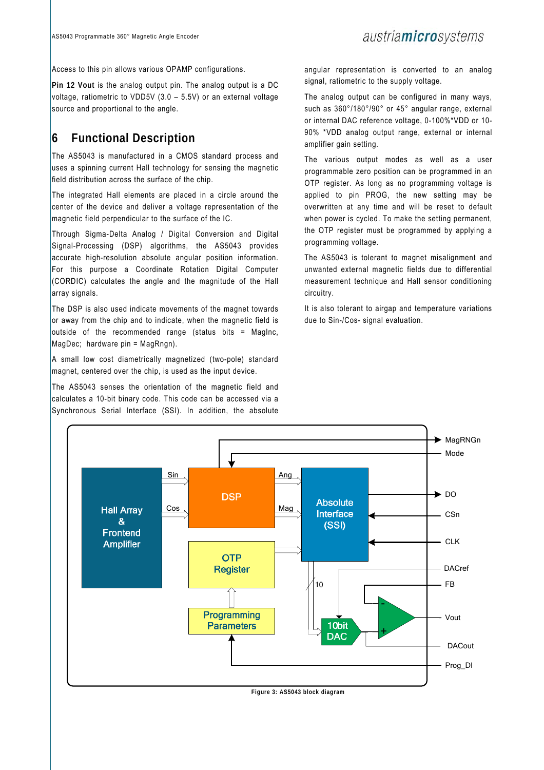Access to this pin allows various OPAMP configurations.

**Pin 12 Vout** is the analog output pin. The analog output is a DC voltage, ratiometric to VDD5V (3.0 – 5.5V) or an external voltage source and proportional to the angle.

## **6 Functional Description**

The AS5043 is manufactured in a CMOS standard process and uses a spinning current Hall technology for sensing the magnetic field distribution across the surface of the chip.

The integrated Hall elements are placed in a circle around the center of the device and deliver a voltage representation of the magnetic field perpendicular to the surface of the IC.

Through Sigma-Delta Analog / Digital Conversion and Digital Signal-Processing (DSP) algorithms, the AS5043 provides accurate high-resolution absolute angular position information. For this purpose a Coordinate Rotation Digital Computer (CORDIC) calculates the angle and the magnitude of the Hall array signals.

The DSP is also used indicate movements of the magnet towards or away from the chip and to indicate, when the magnetic field is outside of the recommended range (status bits = MagInc, MagDec; hardware pin = MagRngn).

A small low cost diametrically magnetized (two-pole) standard magnet, centered over the chip, is used as the input device.

The AS5043 senses the orientation of the magnetic field and calculates a 10-bit binary code. This code can be accessed via a Synchronous Serial Interface (SSI). In addition, the absolute

angular representation is converted to an analog signal, ratiometric to the supply voltage.

The analog output can be configured in many ways, such as 360°/180°/90° or 45° angular range, external or internal DAC reference voltage, 0-100%\*VDD or 10- 90% \*VDD analog output range, external or internal amplifier gain setting.

The various output modes as well as a user programmable zero position can be programmed in an OTP register. As long as no programming voltage is applied to pin PROG, the new setting may be overwritten at any time and will be reset to default when power is cycled. To make the setting permanent, the OTP register must be programmed by applying a programming voltage.

The AS5043 is tolerant to magnet misalignment and unwanted external magnetic fields due to differential measurement technique and Hall sensor conditioning circuitry.

It is also tolerant to airgap and temperature variations due to Sin-/Cos- signal evaluation.



**Figure 3: AS5043 block diagram**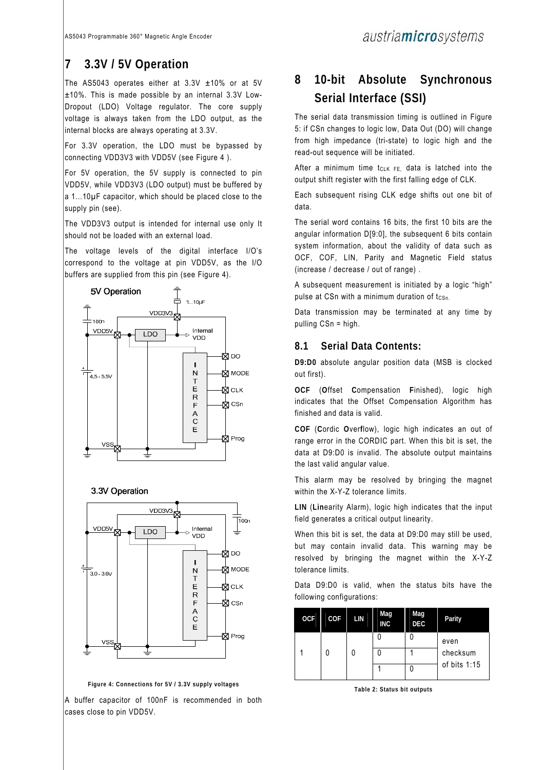## **7 3.3V / 5V Operation**

The AS5043 operates either at 3.3V ±10% or at 5V  $\pm$ 10%. This is made possible by an internal 3.3V Low-Dropout (LDO) Voltage regulator. The core supply voltage is always taken from the LDO output, as the internal blocks are always operating at 3.3V.

For 3.3V operation, the LDO must be bypassed by connecting VDD3V3 with VDD5V (see Figure 4 ).

For 5V operation, the 5V supply is connected to pin VDD5V, while VDD3V3 (LDO output) must be buffered by a 1...10µF capacitor, which should be placed close to the supply pin (see).

The VDD3V3 output is intended for internal use only It should not be loaded with an external load.

The voltage levels of the digital interface I/O's correspond to the voltage at pin VDD5V, as the I/O buffers are supplied from this pin (see Figure 4).







**Figure 4: Connections for 5V / 3.3V supply voltages** 

A buffer capacitor of 100nF is recommended in both cases close to pin VDD5V.

## **8 10-bit Absolute Synchronous Serial Interface (SSI)**

The serial data transmission timing is outlined in Figure 5: if CSn changes to logic low, Data Out (DO) will change from high impedance (tri-state) to logic high and the read-out sequence will be initiated.

After a minimum time  $t_{CLK FE}$ , data is latched into the output shift register with the first falling edge of CLK.

Each subsequent rising CLK edge shifts out one bit of data.

The serial word contains 16 bits, the first 10 bits are the angular information D[9:0], the subsequent 6 bits contain system information, about the validity of data such as OCF, COF, LIN, Parity and Magnetic Field status (increase / decrease / out of range) .

A subsequent measurement is initiated by a logic "high" pulse at CSn with a minimum duration of tcsn.

Data transmission may be terminated at any time by pulling CSn = high.

### **8.1 Serial Data Contents:**

**D9:D0** absolute angular position data (MSB is clocked out first).

**OCF** (**O**ffset **C**ompensation **F**inished), logic high indicates that the Offset Compensation Algorithm has finished and data is valid.

**COF** (**C**ordic **O**ver**f**low), logic high indicates an out of range error in the CORDIC part. When this bit is set, the data at D9:D0 is invalid. The absolute output maintains the last valid angular value.

This alarm may be resolved by bringing the magnet within the X-Y-Z tolerance limits.

**LIN** (**Lin**earity Alarm), logic high indicates that the input field generates a critical output linearity.

When this bit is set, the data at D9:D0 may still be used, but may contain invalid data. This warning may be resolved by bringing the magnet within the X-Y-Z tolerance limits.

Data D9:D0 is valid, when the status bits have the following configurations:

| <b>OCF</b> | COF | LIN | Mag<br><b>INC</b> | Mag<br><b>DEC</b> | Parity           |
|------------|-----|-----|-------------------|-------------------|------------------|
|            |     |     |                   |                   | even<br>checksum |
|            |     |     |                   |                   |                  |
|            |     |     |                   |                   | of bits $1:15$   |

**Table 2: Status bit outputs**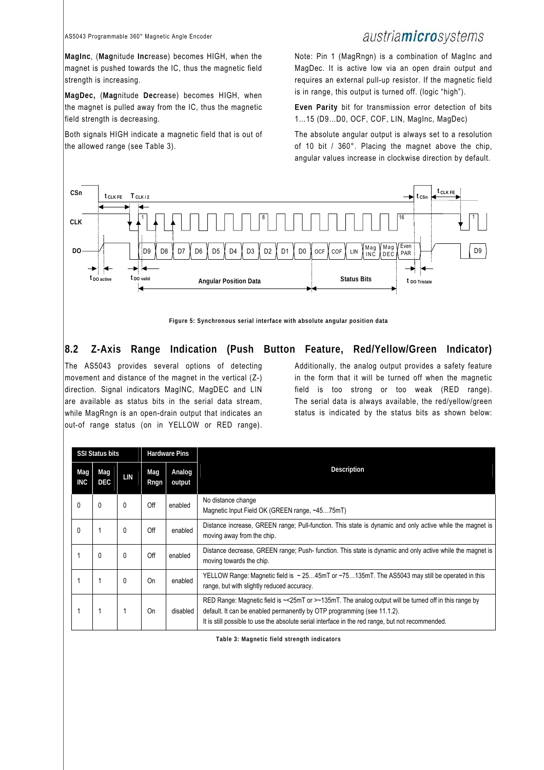#### AS5043 Programmable 360° Magnetic Angle Encoder

### austriamicrosystems

**MagInc**, (**Mag**nitude **Inc**rease) becomes HIGH, when the magnet is pushed towards the IC, thus the magnetic field strength is increasing.

**MagDec,** (**Mag**nitude **Dec**rease) becomes HIGH, when the magnet is pulled away from the IC, thus the magnetic field strength is decreasing.

Both signals HIGH indicate a magnetic field that is out of the allowed range (see Table 3).

Note: Pin 1 (MagRngn) is a combination of MagInc and MagDec. It is active low via an open drain output and requires an external pull-up resistor. If the magnetic field is in range, this output is turned off. (logic "high").

**Even Parity** bit for transmission error detection of bits 1…15 (D9…D0, OCF, COF, LIN, MagInc, MagDec)

The absolute angular output is always set to a resolution of 10 bit / 360°. Placing the magnet above the chip, angular values increase in clockwise direction by default.



**Figure 5: Synchronous serial interface with absolute angular position data** 

### **8.2 Z-Axis Range Indication (Push Button Feature, Red/Yellow/Green Indicator)**

The AS5043 provides several options of detecting movement and distance of the magnet in the vertical (Z-) direction. Signal indicators MagINC, MagDEC and LIN are available as status bits in the serial data stream, while MagRngn is an open-drain output that indicates an out-of range status (on in YELLOW or RED range). Additionally, the analog output provides a safety feature in the form that it will be turned off when the magnetic field is too strong or too weak (RED range). The serial data is always available, the red/yellow/green status is indicated by the status bits as shown below:

|                   | <b>SSI Status bits</b> |          |             | <b>Hardware Pins</b> |                                                                                                                                                                                                                                                                                       |  |  |  |
|-------------------|------------------------|----------|-------------|----------------------|---------------------------------------------------------------------------------------------------------------------------------------------------------------------------------------------------------------------------------------------------------------------------------------|--|--|--|
| Mag<br><b>INC</b> | Mag<br><b>DEC</b>      | LIN      | Mag<br>Rngn | Analog<br>output     | Description                                                                                                                                                                                                                                                                           |  |  |  |
| $\Omega$          | $\mathbf{0}$           | $\Omega$ | Off         | enabled              | No distance change<br>Magnetic Input Field OK (GREEN range, ~4575mT)                                                                                                                                                                                                                  |  |  |  |
| $\mathbf{0}$      |                        | 0        | Off         | enabled              | Distance increase, GREEN range; Pull-function. This state is dynamic and only active while the magnet is<br>moving away from the chip.                                                                                                                                                |  |  |  |
|                   | $\mathbf{0}$           | 0        | Off         | enabled              | Distance decrease, GREEN range; Push-function. This state is dynamic and only active while the magnet is<br>moving towards the chip.                                                                                                                                                  |  |  |  |
|                   |                        | 0        | On          | enabled              | YELLOW Range: Magnetic field is $\sim$ 2545mT or $\sim$ 75135mT. The AS5043 may still be operated in this<br>range, but with slightly reduced accuracy.                                                                                                                               |  |  |  |
|                   |                        |          | On          | disabled             | RED Range: Magnetic field is ~< 25mT or >~135mT. The analog output will be turned off in this range by<br>default. It can be enabled permanently by OTP programming (see 11.1.2).<br>It is still possible to use the absolute serial interface in the red range, but not recommended. |  |  |  |

**Table 3: Magnetic field strength indicators**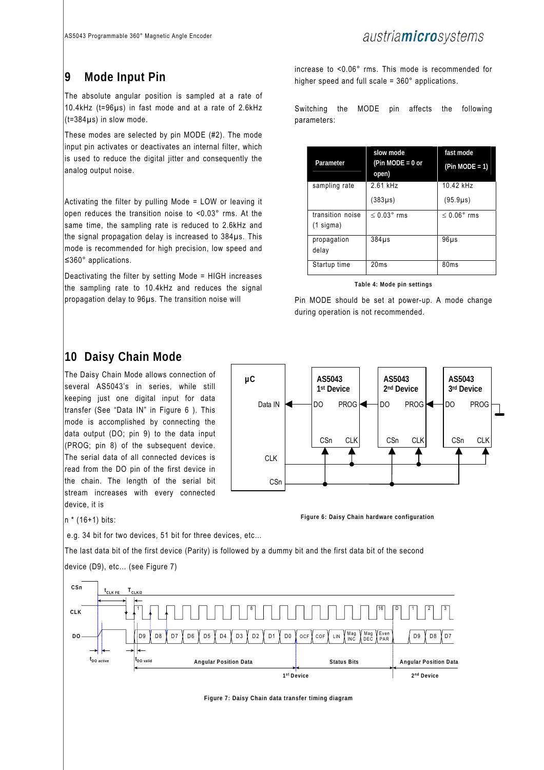## **9 Mode Input Pin**

The absolute angular position is sampled at a rate of 10.4kHz (t=96µs) in fast mode and at a rate of 2.6kHz  $(t=384\,\mu s)$  in slow mode.

These modes are selected by pin MODE (#2). The mode input pin activates or deactivates an internal filter, which is used to reduce the digital jitter and consequently the analog output noise.

Activating the filter by pulling Mode = LOW or leaving it open reduces the transition noise to <0.03° rms. At the same time, the sampling rate is reduced to 2.6kHz and the signal propagation delay is increased to 384µs. This mode is recommended for high precision, low speed and ≤360° applications.

Deactivating the filter by setting Mode = HIGH increases the sampling rate to 10.4kHz and reduces the signal propagation delay to 96µs. The transition noise will

increase to <0.06° rms. This mode is recommended for higher speed and full scale = 360° applications.

Switching the MODE pin affects the following parameters:

| Parameter                     | slow mode<br>(Pin MODE = $0$ or<br>open) | fast mode<br>$(Pin MODE = 1)$ |
|-------------------------------|------------------------------------------|-------------------------------|
| sampling rate                 | 2.61 kHz                                 | 10.42 kHz                     |
|                               | $(383\mu s)$                             | $(95.9 \mu s)$                |
| transition noise<br>(1 sigma) | $< 0.03$ ° rms                           | $< 0.06$ ° rms                |
| propagation<br>delay          | $384\,\mu s$                             | $96\mu s$                     |
| Startup time                  | 20ms                                     | 80 <sub>ms</sub>              |

**Table 4: Mode pin settings** 

Pin MODE should be set at power-up. A mode change during operation is not recommended.

### **10 Daisy Chain Mode**

The Daisy Chain Mode allows connection of several AS5043's in series, while still keeping just one digital input for data transfer (See "Data IN" in Figure 6 ). This mode is accomplished by connecting the data output (DO; pin 9) to the data input (PROG; pin 8) of the subsequent device. The serial data of all connected devices is read from the DO pin of the first device in the chain. The length of the serial bit stream increases with every connected device, it is



**Figure 6: Daisy Chain hardware configuration** 

 $n * (16+1)$  bits:

e.g. 34 bit for two devices, 51 bit for three devices, etc…

The last data bit of the first device (Parity) is followed by a dummy bit and the first data bit of the second



**Figure 7: Daisy Chain data transfer timing diagram** 

### device (D9), etc… (see Figure 7)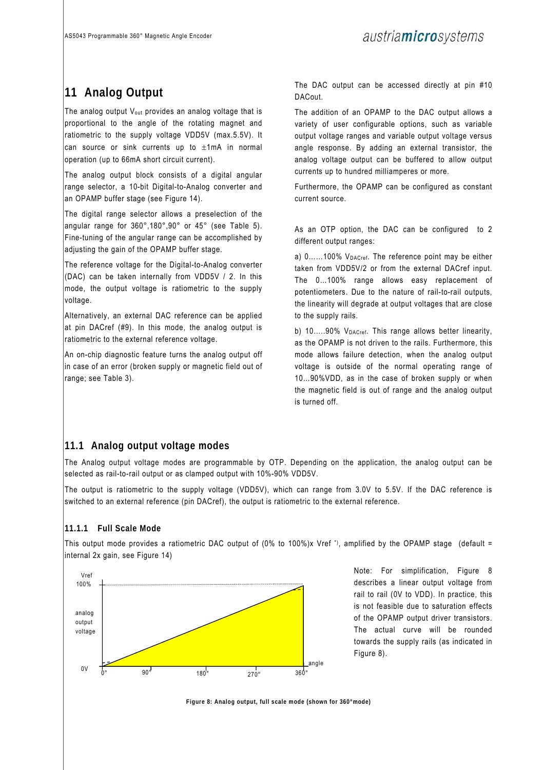## **11 Analog Output**

The analog output Vout provides an analog voltage that is proportional to the angle of the rotating magnet and ratiometric to the supply voltage VDD5V (max.5.5V). It can source or sink currents up to  $\pm 1$ mA in normal operation (up to 66mA short circuit current).

The analog output block consists of a digital angular range selector, a 10-bit Digital-to-Analog converter and an OPAMP buffer stage (see Figure 14).

The digital range selector allows a preselection of the angular range for 360°,180°,90° or 45° (see Table 5). Fine-tuning of the angular range can be accomplished by adjusting the gain of the OPAMP buffer stage.

The reference voltage for the Digital-to-Analog converter (DAC) can be taken internally from VDD5V / 2. In this mode, the output voltage is ratiometric to the supply voltage.

Alternatively, an external DAC reference can be applied at pin DACref (#9). In this mode, the analog output is ratiometric to the external reference voltage.

An on-chip diagnostic feature turns the analog output off in case of an error (broken supply or magnetic field out of range; see Table 3).

The DAC output can be accessed directly at pin #10 DACout.

The addition of an OPAMP to the DAC output allows a variety of user configurable options, such as variable output voltage ranges and variable output voltage versus angle response. By adding an external transistor, the analog voltage output can be buffered to allow output currents up to hundred milliamperes or more.

Furthermore, the OPAMP can be configured as constant current source.

As an OTP option, the DAC can be configured to 2 different output ranges:

a) 0......100% V<sub>DACref</sub>. The reference point may be either taken from VDD5V/2 or from the external DACref input. The 0…100% range allows easy replacement of potentiometers. Due to the nature of rail-to-rail outputs, the linearity will degrade at output voltages that are close to the supply rails.

b) 10.....90% V<sub>DACref</sub>. This range allows better linearity, as the OPAMP is not driven to the rails. Furthermore, this mode allows failure detection, when the analog output voltage is outside of the normal operating range of 10…90%VDD, as in the case of broken supply or when the magnetic field is out of range and the analog output is turned off.

### **11.1 Analog output voltage modes**

The Analog output voltage modes are programmable by OTP. Depending on the application, the analog output can be selected as rail-to-rail output or as clamped output with 10%-90% VDD5V.

The output is ratiometric to the supply voltage (VDD5V), which can range from 3.0V to 5.5V. If the DAC reference is switched to an external reference (pin DACref), the output is ratiometric to the external reference.

#### **11.1.1 Full Scale Mode**

This output mode provides a ratiometric DAC output of (0% to 100%)x Vref \*), amplified by the OPAMP stage (default = internal 2x gain, see Figure 14)



Note: For simplification, Figure 8 describes a linear output voltage from rail to rail (0V to VDD). In practice, this is not feasible due to saturation effects of the OPAMP output driver transistors. The actual curve will be rounded towards the supply rails (as indicated in Figure 8).

**Figure 8: Analog output, full scale mode (shown for 360°mode)**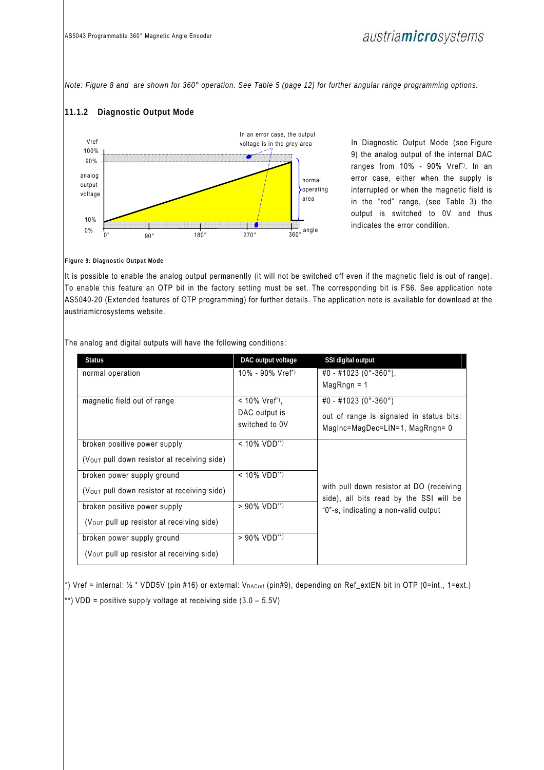*Note: Figure 8 and are shown for 360° operation. See Table 5 (page 12) for further angular range programming options.* 

#### **11.1.2 Diagnostic Output Mode**



In Diagnostic Output Mode (see Figure 9) the analog output of the internal DAC ranges from 10% - 90% Vref\*). In an error case, either when the supply is interrupted or when the magnetic field is in the "red" range, (see Table 3) the output is switched to 0V and thus indicates the error condition.

**Figure 9: Diagnostic Output Mode** 

It is possible to enable the analog output permanently (it will not be switched off even if the magnetic field is out of range). To enable this feature an OTP bit in the factory setting must be set. The corresponding bit is FS6. See application note AS5040-20 (Extended features of OTP programming) for further details. The application note is available for download at the austriamicrosystems website.

The analog and digital outputs will have the following conditions:

| <b>Status</b>                               | DAC output voltage              | SSI digital output                                                                  |
|---------------------------------------------|---------------------------------|-------------------------------------------------------------------------------------|
| normal operation                            | $10\%$ - 90% Vref <sup>*)</sup> | #0 - #1023 (0°-360°),                                                               |
|                                             |                                 | $MaqRnqn = 1$                                                                       |
| magnetic field out of range                 | $< 10\%$ Vref <sup>*</sup> ).   | #0 - #1023 (0°-360°)                                                                |
|                                             | DAC output is<br>switched to 0V | out of range is signaled in status bits:<br>Maginc=MagDec=LIN=1, MagRngn= 0         |
| broken positive power supply                | $< 10\%$ VDD <sup>**)</sup>     |                                                                                     |
| (Vout pull down resistor at receiving side) |                                 |                                                                                     |
| broken power supply ground                  | $< 10\%$ VDD <sup>**)</sup>     |                                                                                     |
| (Vout pull down resistor at receiving side) |                                 | with pull down resistor at DO (receiving<br>side), all bits read by the SSI will be |
| broken positive power supply                | $> 90\%$ VDD <sup>**)</sup>     | "0"-s, indicating a non-valid output                                                |
| (Vout pull up resistor at receiving side)   |                                 |                                                                                     |
| broken power supply ground                  | > 90% VDD**)                    |                                                                                     |
| (Vout pull up resistor at receiving side)   |                                 |                                                                                     |

\*) Vref = internal: ½ \* VDD5V (pin #16) or external: VDACref (pin#9), depending on Ref\_extEN bit in OTP (0=int., 1=ext.) \*\*) VDD = positive supply voltage at receiving side  $(3.0 - 5.5V)$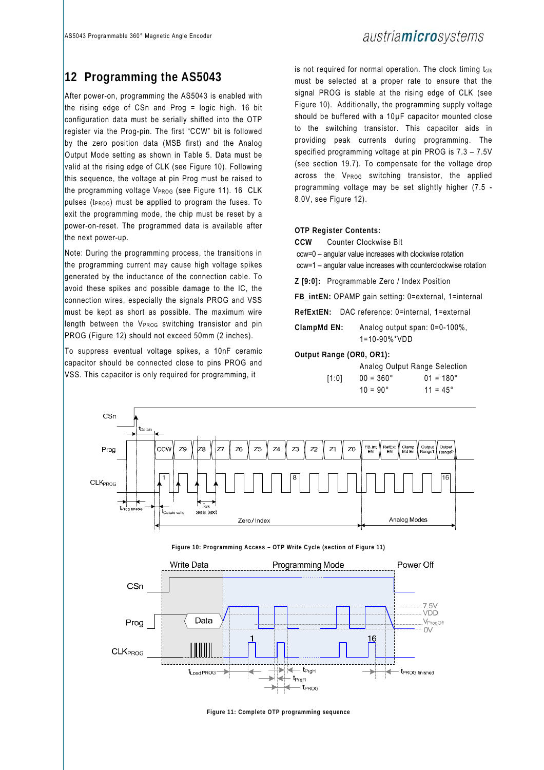## austria**micro**systems

### **12 Programming the AS5043**

After power-on, programming the AS5043 is enabled with the rising edge of CSn and Prog = logic high. 16 bit configuration data must be serially shifted into the OTP register via the Prog-pin. The first "CCW" bit is followed by the zero position data (MSB first) and the Analog Output Mode setting as shown in Table 5. Data must be valid at the rising edge of CLK (see Figure 10). Following this sequence, the voltage at pin Prog must be raised to the programming voltage VPROG (see Figure 11). 16 CLK pulses ( $t_{\text{PROG}}$ ) must be applied to program the fuses. To exit the programming mode, the chip must be reset by a power-on-reset. The programmed data is available after the next power-up.

Note: During the programming process, the transitions in the programming current may cause high voltage spikes generated by the inductance of the connection cable. To avoid these spikes and possible damage to the IC, the connection wires, especially the signals PROG and VSS must be kept as short as possible. The maximum wire length between the  $V_{PROG}$  switching transistor and pin PROG (Figure 12) should not exceed 50mm (2 inches).

To suppress eventual voltage spikes, a 10nF ceramic capacitor should be connected close to pins PROG and VSS. This capacitor is only required for programming, it

is not required for normal operation. The clock timing tclk must be selected at a proper rate to ensure that the signal PROG is stable at the rising edge of CLK (see Figure 10). Additionally, the programming supply voltage should be buffered with a 10µF capacitor mounted close to the switching transistor. This capacitor aids in providing peak currents during programming. The specified programming voltage at pin PROG is 7.3 – 7.5V (see section 19.7). To compensate for the voltage drop across the V<sub>PROG</sub> switching transistor, the applied programming voltage may be set slightly higher (7.5 - 8.0V, see Figure 12).

#### **OTP Register Contents:**

**CCW** Counter Clockwise Bit

 ccw=0 – angular value increases with clockwise rotation ccw=1 – angular value increases with counterclockwise rotation

**Z [9:0]:** Programmable Zero / Index Position

**FB\_intEN:** OPAMP gain setting: 0=external, 1=internal

**RefExtEN:** DAC reference: 0=internal, 1=external

**ClampMd EN:** Analog output span: 0=0-100%, 1=10-90%\*VDD

#### **Output Range (OR0, OR1):**

|       | Analog Output Range Selection |                    |
|-------|-------------------------------|--------------------|
| 11:01 | $00 = 360^{\circ}$            | $01 = 180^{\circ}$ |
|       | $10 = 90^{\circ}$             | $11 = 45^{\circ}$  |





**Figure 11: Complete OTP programming sequence**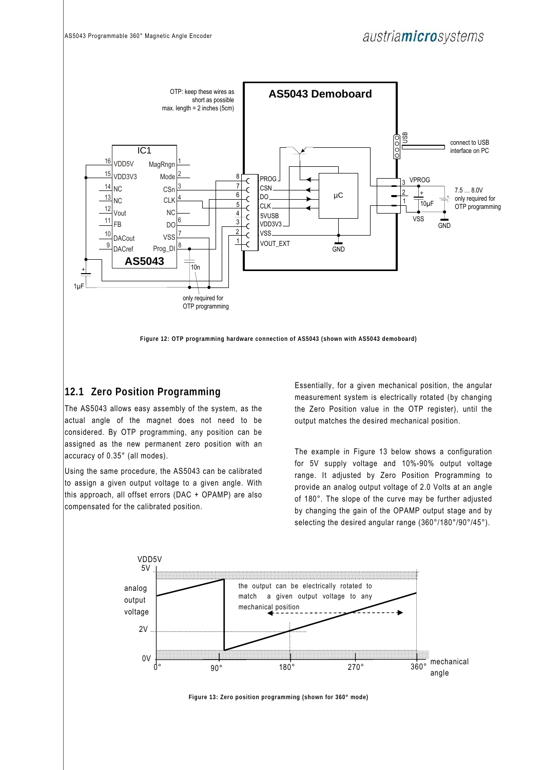

**Figure 12: OTP programming hardware connection of AS5043 (shown with AS5043 demoboard)** 

### **12.1 Zero Position Programming**

The AS5043 allows easy assembly of the system, as the actual angle of the magnet does not need to be considered. By OTP programming, any position can be assigned as the new permanent zero position with an accuracy of 0.35° (all modes).

Using the same procedure, the AS5043 can be calibrated to assign a given output voltage to a given angle. With this approach, all offset errors (DAC + OPAMP) are also compensated for the calibrated position.

Essentially, for a given mechanical position, the angular measurement system is electrically rotated (by changing the Zero Position value in the OTP register), until the output matches the desired mechanical position.

The example in Figure 13 below shows a configuration for 5V supply voltage and 10%-90% output voltage range. It adjusted by Zero Position Programming to provide an analog output voltage of 2.0 Volts at an angle of 180°. The slope of the curve may be further adjusted by changing the gain of the OPAMP output stage and by selecting the desired angular range (360°/180°/90°/45°).



**Figure 13: Zero position programming (shown for 360° mode)**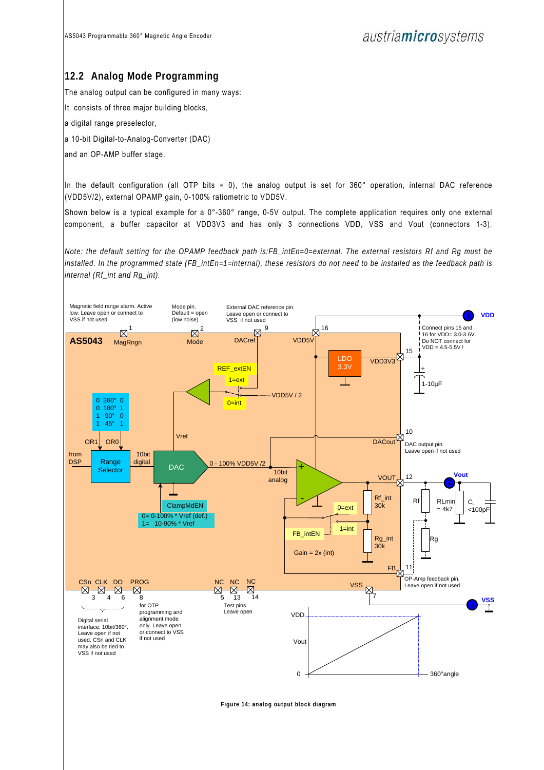### **12.2 Analog Mode Programming**

The analog output can be configured in many ways:

It consists of three major building blocks,

a digital range preselector,

a 10-bit Digital-to-Analog-Converter (DAC)

and an OP-AMP buffer stage.

In the default configuration (all OTP bits = 0), the analog output is set for  $360^\circ$  operation, internal DAC reference (VDD5V/2), external OPAMP gain, 0-100% ratiometric to VDD5V.

Shown below is a typical example for a 0°-360° range, 0-5V output. The complete application requires only one external component, a buffer capacitor at VDD3V3 and has only 3 connections VDD, VSS and Vout (connectors 1-3).

*Note: the default setting for the OPAMP feedback path is:FB\_intEn=0=external. The external resistors Rf and Rg must be installed. In the programmed state (FB\_intEn=1=internal), these resistors do not need to be installed as the feedback path is internal (Rf\_int and Rg\_int).*



**Figure 14: analog output block diagram**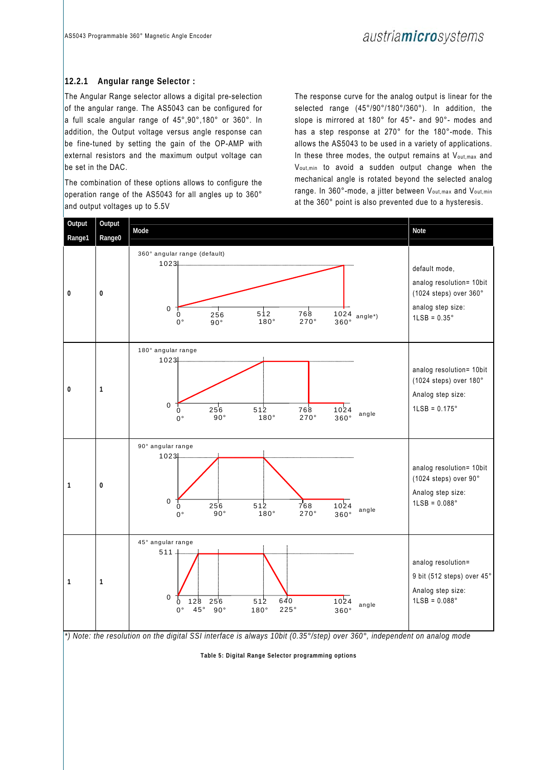#### **12.2.1 Angular range Selector :**

The Angular Range selector allows a digital pre-selection of the angular range. The AS5043 can be configured for a full scale angular range of 45°,90°,180° or 360°. In addition, the Output voltage versus angle response can be fine-tuned by setting the gain of the OP-AMP with external resistors and the maximum output voltage can be set in the DAC.

The combination of these options allows to configure the operation range of the AS5043 for all angles up to 360° and output voltages up to 5.5V

The response curve for the analog output is linear for the selected range (45°/90°/180°/360°). In addition, the slope is mirrored at 180° for 45°- and 90°- modes and has a step response at 270° for the 180°-mode. This allows the AS5043 to be used in a variety of applications. In these three modes, the output remains at  $V_{\text{out,max}}$  and Vout,min to avoid a sudden output change when the mechanical angle is rotated beyond the selected analog range. In 360°-mode, a jitter between V<sub>out, max</sub> and V<sub>out, min</sub> at the 360° point is also prevented due to a hysteresis.



*\*) Note: the resolution on the digital SSI interface is always 10bit (0.35°/step) over 360°, independent on analog mode* 

**Table 5: Digital Range Selector programming options**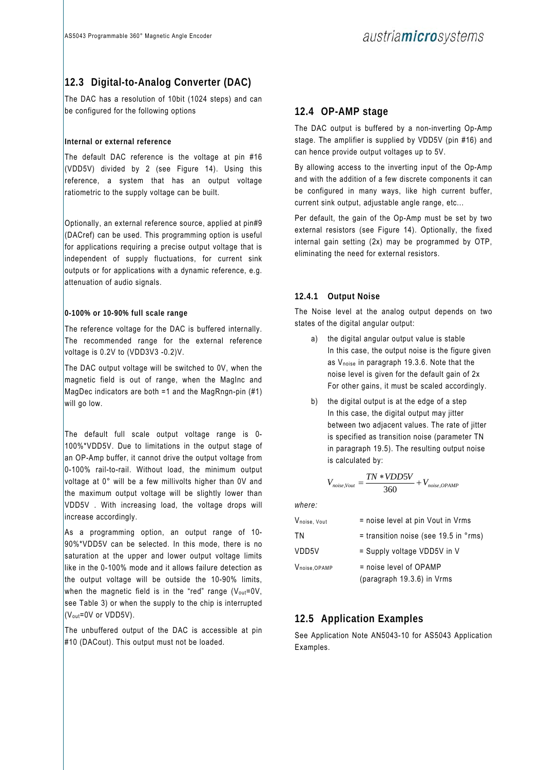### **12.3 Digital-to-Analog Converter (DAC)**

The DAC has a resolution of 10bit (1024 steps) and can be configured for the following options

#### **Internal or external reference**

The default DAC reference is the voltage at pin #16 (VDD5V) divided by 2 (see Figure 14). Using this reference, a system that has an output voltage ratiometric to the supply voltage can be built.

Optionally, an external reference source, applied at pin#9 (DACref) can be used. This programming option is useful for applications requiring a precise output voltage that is independent of supply fluctuations, for current sink outputs or for applications with a dynamic reference, e.g. attenuation of audio signals.

#### **0-100% or 10-90% full scale range**

The reference voltage for the DAC is buffered internally. The recommended range for the external reference voltage is 0.2V to (VDD3V3 -0.2)V.

The DAC output voltage will be switched to 0V, when the magnetic field is out of range, when the MagInc and MagDec indicators are both =1 and the MagRngn-pin (#1) will go low.

The default full scale output voltage range is 0- 100%\*VDD5V. Due to limitations in the output stage of an OP-Amp buffer, it cannot drive the output voltage from 0-100% rail-to-rail. Without load, the minimum output voltage at 0° will be a few millivolts higher than 0V and the maximum output voltage will be slightly lower than VDD5V . With increasing load, the voltage drops will increase accordingly.

As a programming option, an output range of 10- 90%\*VDD5V can be selected. In this mode, there is no saturation at the upper and lower output voltage limits like in the 0-100% mode and it allows failure detection as the output voltage will be outside the 10-90% limits, when the magnetic field is in the "red" range ( $V_{\text{out}}=0$ V, see Table 3) or when the supply to the chip is interrupted (Vout=0V or VDD5V).

The unbuffered output of the DAC is accessible at pin #10 (DACout). This output must not be loaded.

### **12.4 OP-AMP stage**

The DAC output is buffered by a non-inverting Op-Amp stage. The amplifier is supplied by VDD5V (pin #16) and can hence provide output voltages up to 5V.

By allowing access to the inverting input of the Op-Amp and with the addition of a few discrete components it can be configured in many ways, like high current buffer, current sink output, adjustable angle range, etc...

Per default, the gain of the Op-Amp must be set by two external resistors (see Figure 14). Optionally, the fixed internal gain setting (2x) may be programmed by OTP, eliminating the need for external resistors.

#### **12.4.1 Output Noise**

The Noise level at the analog output depends on two states of the digital angular output:

- a) the digital angular output value is stable In this case, the output noise is the figure given as Vnoise in paragraph 19.3.6. Note that the noise level is given for the default gain of 2x For other gains, it must be scaled accordingly.
- b) the digital output is at the edge of a step In this case, the digital output may jitter between two adjacent values. The rate of jitter is specified as transition noise (parameter TN in paragraph 19.5). The resulting output noise is calculated by:

$$
V_{noise, Vout} = \frac{TN * VDD5V}{360} + V_{noise, OPAMP}
$$

*where:* 

| Vnoise, Vout  | = noise level at pin Vout in Vrms                |
|---------------|--------------------------------------------------|
| ΤN            | $=$ transition noise (see 19.5 in $\degree$ rms) |
| VDD5V         | = Supply voltage VDD5V in V                      |
| Vnoise, OPAMP | $=$ noise level of OPAMP                         |
|               | (paragraph 19.3.6) in Vrms                       |

### **12.5 Application Examples**

See Application Note AN5043-10 for AS5043 Application Examples.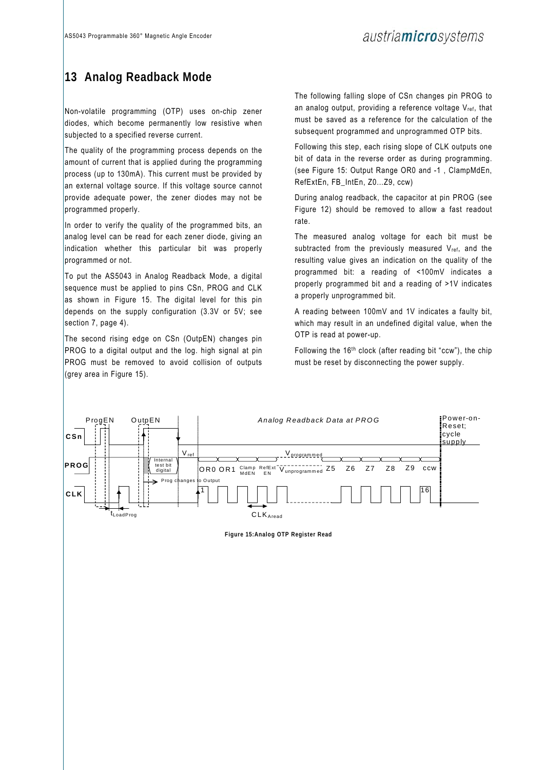## **13 Analog Readback Mode**

Non-volatile programming (OTP) uses on-chip zener diodes, which become permanently low resistive when subjected to a specified reverse current.

The quality of the programming process depends on the amount of current that is applied during the programming process (up to 130mA). This current must be provided by an external voltage source. If this voltage source cannot provide adequate power, the zener diodes may not be programmed properly.

In order to verify the quality of the programmed bits, an analog level can be read for each zener diode, giving an indication whether this particular bit was properly programmed or not.

To put the AS5043 in Analog Readback Mode, a digital sequence must be applied to pins CSn, PROG and CLK as shown in Figure 15. The digital level for this pin depends on the supply configuration (3.3V or 5V; see section 7, page 4).

The second rising edge on CSn (OutpEN) changes pin PROG to a digital output and the log. high signal at pin PROG must be removed to avoid collision of outputs (grey area in Figure 15).

The following falling slope of CSn changes pin PROG to an analog output, providing a reference voltage Vref, that must be saved as a reference for the calculation of the subsequent programmed and unprogrammed OTP bits.

Following this step, each rising slope of CLK outputs one bit of data in the reverse order as during programming. (see Figure 15: Output Range OR0 and -1 , ClampMdEn, RefExtEn, FB\_IntEn, Z0…Z9, ccw)

During analog readback, the capacitor at pin PROG (see Figure 12) should be removed to allow a fast readout rate.

The measured analog voltage for each bit must be subtracted from the previously measured  $V_{ref}$ , and the resulting value gives an indication on the quality of the programmed bit: a reading of <100mV indicates a properly programmed bit and a reading of >1V indicates a properly unprogrammed bit.

A reading between 100mV and 1V indicates a faulty bit, which may result in an undefined digital value, when the OTP is read at power-up.

Following the 16th clock (after reading bit "ccw"), the chip must be reset by disconnecting the power supply.



**Figure 15:Analog OTP Register Read**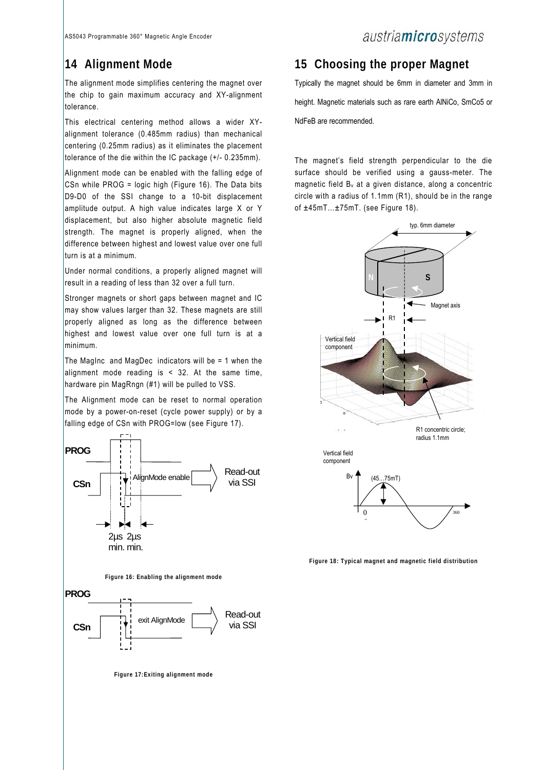## **14 Alignment Mode**

The alignment mode simplifies centering the magnet over the chip to gain maximum accuracy and XY-alignment tolerance.

This electrical centering method allows a wider XYalignment tolerance (0.485mm radius) than mechanical centering (0.25mm radius) as it eliminates the placement tolerance of the die within the IC package (+/- 0.235mm).

Alignment mode can be enabled with the falling edge of CSn while PROG = logic high (Figure 16). The Data bits D9-D0 of the SSI change to a 10-bit displacement amplitude output. A high value indicates large X or Y displacement, but also higher absolute magnetic field strength. The magnet is properly aligned, when the difference between highest and lowest value over one full turn is at a minimum.

Under normal conditions, a properly aligned magnet will result in a reading of less than 32 over a full turn.

Stronger magnets or short gaps between magnet and IC may show values larger than 32. These magnets are still properly aligned as long as the difference between highest and lowest value over one full turn is at a minimum.

The MagInc and MagDec indicators will be = 1 when the alignment mode reading is  $\leq$  32. At the same time, hardware pin MagRngn (#1) will be pulled to VSS.

The Alignment mode can be reset to normal operation mode by a power-on-reset (cycle power supply) or by a falling edge of CSn with PROG=low (see Figure 17).



### **15 Choosing the proper Magnet**

Typically the magnet should be 6mm in diameter and 3mm in height. Magnetic materials such as rare earth AlNiCo, SmCo5 or NdFeB are recommended.

The magnet's field strength perpendicular to the die surface should be verified using a gauss-meter. The magnetic field Bv at a given distance, along a concentric circle with a radius of 1.1mm (R1), should be in the range of ±45mT…±75mT. (see Figure 18).



**Figure 18: Typical magnet and magnetic field distribution**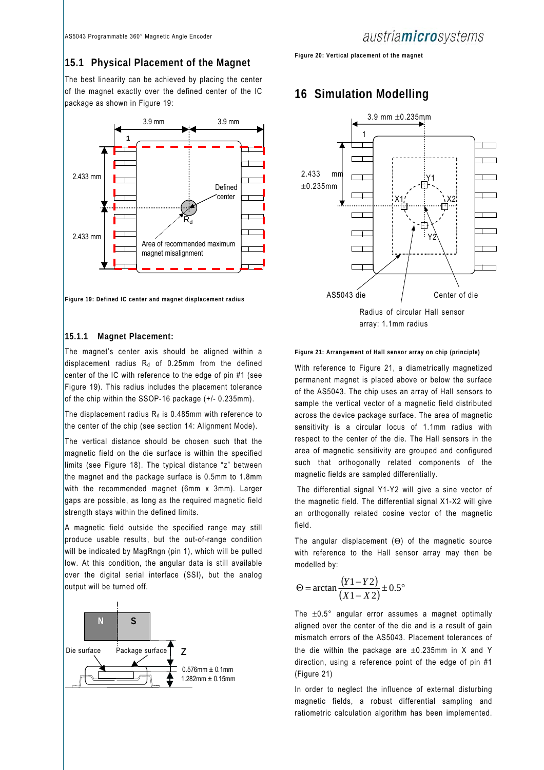### **15.1 Physical Placement of the Magnet**

The best linearity can be achieved by placing the center of the magnet exactly over the defined center of the IC package as shown in Figure 19:



**Figure 19: Defined IC center and magnet displacement radius** 

#### **15.1.1 Magnet Placement:**

The magnet's center axis should be aligned within a displacement radius  $R_d$  of 0.25mm from the defined center of the IC with reference to the edge of pin #1 (see Figure 19). This radius includes the placement tolerance of the chip within the SSOP-16 package (+/- 0.235mm).

The displacement radius  $R_d$  is 0.485mm with reference to the center of the chip (see section 14: Alignment Mode).

The vertical distance should be chosen such that the magnetic field on the die surface is within the specified limits (see Figure 18). The typical distance "z" between the magnet and the package surface is 0.5mm to 1.8mm with the recommended magnet (6mm x 3mm). Larger gaps are possible, as long as the required magnetic field strength stays within the defined limits.

A magnetic field outside the specified range may still produce usable results, but the out-of-range condition will be indicated by MagRngn (pin 1), which will be pulled low. At this condition, the angular data is still available over the digital serial interface (SSI), but the analog output will be turned off.



**Figure 20: Vertical placement of the magnet** 

### **16 Simulation Modelling**



**Figure 21: Arrangement of Hall sensor array on chip (principle)** 

With reference to Figure 21, a diametrically magnetized permanent magnet is placed above or below the surface of the AS5043. The chip uses an array of Hall sensors to sample the vertical vector of a magnetic field distributed across the device package surface. The area of magnetic sensitivity is a circular locus of 1.1mm radius with respect to the center of the die. The Hall sensors in the area of magnetic sensitivity are grouped and configured such that orthogonally related components of the magnetic fields are sampled differentially.

 The differential signal Y1-Y2 will give a sine vector of the magnetic field. The differential signal X1-X2 will give an orthogonally related cosine vector of the magnetic field.

The angular displacement (Θ) of the magnetic source with reference to the Hall sensor array may then be modelled by:

$$
\Theta = \arctan\frac{(Y1 - Y2)}{(X1 - X2)} \pm 0.5^{\circ}
$$

The ±0.5° angular error assumes a magnet optimally aligned over the center of the die and is a result of gain mismatch errors of the AS5043. Placement tolerances of the die within the package are  $\pm 0.235$ mm in X and Y direction, using a reference point of the edge of pin #1 (Figure 21)

In order to neglect the influence of external disturbing magnetic fields, a robust differential sampling and ratiometric calculation algorithm has been implemented.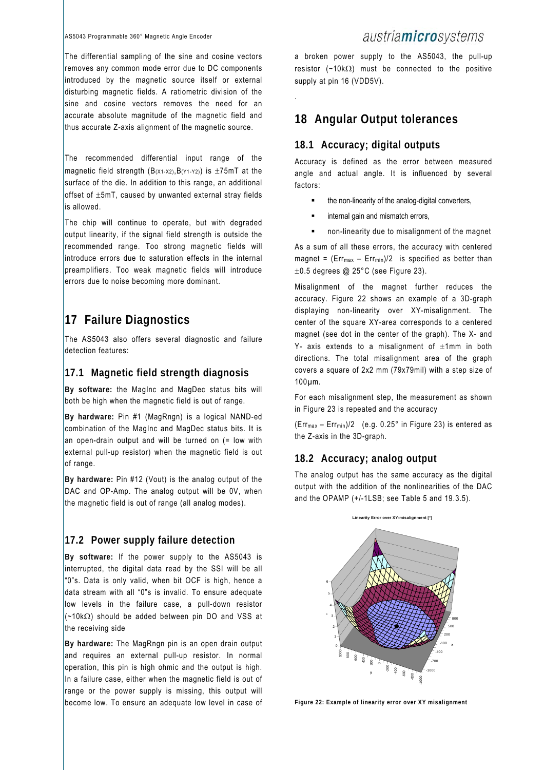The differential sampling of the sine and cosine vectors removes any common mode error due to DC components introduced by the magnetic source itself or external disturbing magnetic fields. A ratiometric division of the sine and cosine vectors removes the need for an accurate absolute magnitude of the magnetic field and thus accurate Z-axis alignment of the magnetic source.

The recommended differential input range of the magnetic field strength  $(B_{(X1-X2)},B_{(Y1-Y2)})$  is  $\pm 75$ mT at the surface of the die. In addition to this range, an additional offset of ±5mT, caused by unwanted external stray fields is allowed.

The chip will continue to operate, but with degraded output linearity, if the signal field strength is outside the recommended range. Too strong magnetic fields will introduce errors due to saturation effects in the internal preamplifiers. Too weak magnetic fields will introduce errors due to noise becoming more dominant.

## **17 Failure Diagnostics**

The AS5043 also offers several diagnostic and failure detection features:

### **17.1 Magnetic field strength diagnosis**

**By software:** the MagInc and MagDec status bits will both be high when the magnetic field is out of range.

**By hardware:** Pin #1 (MagRngn) is a logical NAND-ed combination of the MagInc and MagDec status bits. It is an open-drain output and will be turned on  $($  = low with external pull-up resistor) when the magnetic field is out of range.

**By hardware:** Pin #12 (Vout) is the analog output of the DAC and OP-Amp. The analog output will be 0V, when the magnetic field is out of range (all analog modes).

### **17.2 Power supply failure detection**

**By software:** If the power supply to the AS5043 is interrupted, the digital data read by the SSI will be all "0"s. Data is only valid, when bit OCF is high, hence a data stream with all "0"s is invalid. To ensure adequate low levels in the failure case, a pull-down resistor  $(-10k\Omega)$  should be added between pin DO and VSS at the receiving side

**By hardware:** The MagRngn pin is an open drain output and requires an external pull-up resistor. In normal operation, this pin is high ohmic and the output is high. In a failure case, either when the magnetic field is out of range or the power supply is missing, this output will become low. To ensure an adequate low level in case of

### austriamicrosystems

a broken power supply to the AS5043, the pull-up resistor ( $~10k\Omega$ ) must be connected to the positive supply at pin 16 (VDD5V).

**18 Angular Output tolerances** 

### **18.1 Accuracy; digital outputs**

.

Accuracy is defined as the error between measured angle and actual angle. It is influenced by several factors:

- the non-linearity of the analog-digital converters,
- internal gain and mismatch errors,
- non-linearity due to misalignment of the magnet

As a sum of all these errors, the accuracy with centered magnet =  $(Err_{max} - Err_{min})/2$  is specified as better than ±0.5 degrees @ 25°C (see Figure 23).

Misalignment of the magnet further reduces the accuracy. Figure 22 shows an example of a 3D-graph displaying non-linearity over XY-misalignment. The center of the square XY-area corresponds to a centered magnet (see dot in the center of the graph). The X- and Y- axis extends to a misalignment of  $\pm 1$ mm in both directions. The total misalignment area of the graph covers a square of 2x2 mm (79x79mil) with a step size of 100µm.

For each misalignment step, the measurement as shown in Figure 23 is repeated and the accuracy

(Errmax – Errmin)/2 (e.g. 0.25° in Figure 23) is entered as the Z-axis in the 3D-graph.

### **18.2 Accuracy; analog output**

The analog output has the same accuracy as the digital output with the addition of the nonlinearities of the DAC and the OPAMP  $(+/-1)$  SB; see Table 5 and 19.3.5).



**Figure 22: Example of linearity error over XY misalignment**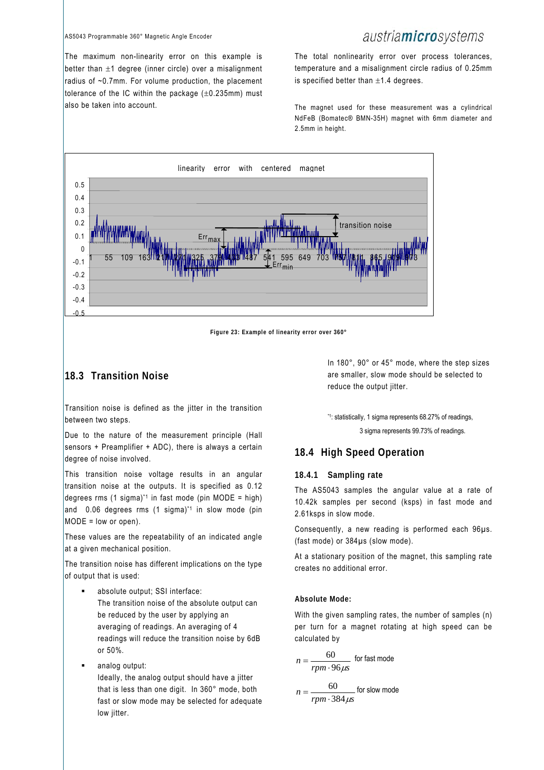#### AS5043 Programmable 360° Magnetic Angle Encoder

## austriamicrosystems

The maximum non-linearity error on this example is better than  $\pm 1$  degree (inner circle) over a misalignment radius of ~0.7mm. For volume production, the placement tolerance of the IC within the package  $(\pm 0.235$ mm) must also be taken into account.

The total nonlinearity error over process tolerances, temperature and a misalignment circle radius of 0.25mm is specified better than  $\pm 1.4$  degrees.

The magnet used for these measurement was a cylindrical NdFeB (Bomatec® BMN-35H) magnet with 6mm diameter and 2.5mm in height.



**Figure 23: Example of linearity error over 360°** 

### **18.3 Transition Noise**

Transition noise is defined as the jitter in the transition between two steps.

Due to the nature of the measurement principle (Hall sensors + Preamplifier + ADC), there is always a certain degree of noise involved.

This transition noise voltage results in an angular transition noise at the outputs. It is specified as 0.12 degrees rms (1 sigma)<sup>\*1</sup> in fast mode (pin MODE = high) and 0.06 degrees rms (1 sigma)<sup>\*1</sup> in slow mode (pin  $MODE = low or open$ .

These values are the repeatability of an indicated angle at a given mechanical position.

The transition noise has different implications on the type of output that is used:

- absolute output; SSI interface: The transition noise of the absolute output can be reduced by the user by applying an averaging of readings. An averaging of 4 readings will reduce the transition noise by 6dB or 50%.
- analog output:

Ideally, the analog output should have a jitter that is less than one digit. In 360° mode, both fast or slow mode may be selected for adequate low jitter.

In 180°, 90° or 45° mode, where the step sizes are smaller, slow mode should be selected to reduce the output jitter.

\*1: statistically, 1 sigma represents 68.27% of readings,

3 sigma represents 99.73% of readings.

#### **18.4 High Speed Operation**

#### **18.4.1 Sampling rate**

The AS5043 samples the angular value at a rate of 10.42k samples per second (ksps) in fast mode and 2.61ksps in slow mode.

Consequently, a new reading is performed each 96µs. (fast mode) or 384µs (slow mode).

At a stationary position of the magnet, this sampling rate creates no additional error.

#### **Absolute Mode:**

With the given sampling rates, the number of samples (n) per turn for a magnet rotating at high speed can be calculated by

$$
n = \frac{60}{rpm \cdot 96 \mu s}
$$
 for fast mode  

$$
n = \frac{60}{rpm \cdot 384 \mu s}
$$
 for slow mode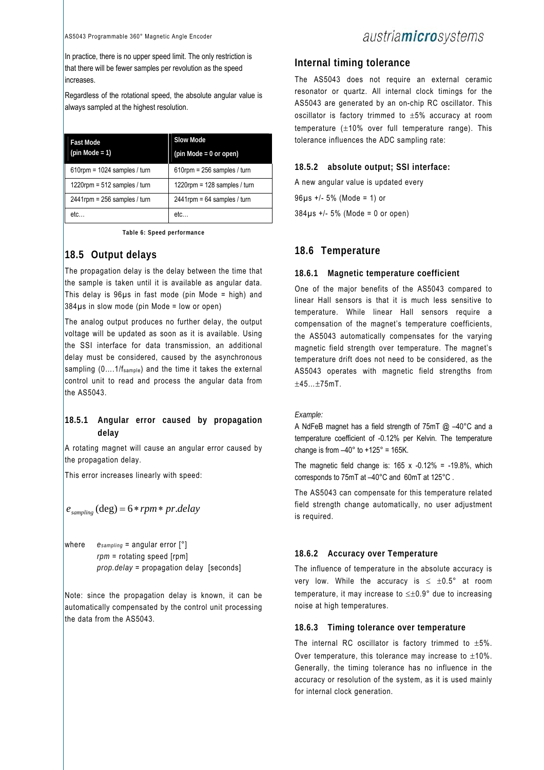In practice, there is no upper speed limit. The only restriction is that there will be fewer samples per revolution as the speed increases.

Regardless of the rotational speed, the absolute angular value is always sampled at the highest resolution.

| <b>Fast Mode</b><br>$(pin Mode = 1)$ | <b>Slow Mode</b><br>$(pin Mode = 0 or open)$ |
|--------------------------------------|----------------------------------------------|
| $610$ rpm = 1024 samples / turn      | $610$ rpm = 256 samples / turn               |
| $1220$ rpm = 512 samples / turn      | 1220rpm = $128$ samples / turn               |
| $2441$ rpm = 256 samples / turn      | $2441$ rpm = 64 samples / turn               |
| etc.                                 | etc                                          |

**Table 6: Speed performance** 

### **18.5 Output delays**

The propagation delay is the delay between the time that the sample is taken until it is available as angular data. This delay is 96µs in fast mode (pin Mode = high) and  $384\mu s$  in slow mode (pin Mode = low or open)

The analog output produces no further delay, the output voltage will be updated as soon as it is available. Using the SSI interface for data transmission, an additional delay must be considered, caused by the asynchronous sampling (0....1/f<sub>sample</sub>) and the time it takes the external control unit to read and process the angular data from the AS5043.

### **18.5.1 Angular error caused by propagation delay**

A rotating magnet will cause an angular error caused by the propagation delay.

This error increases linearly with speed:

$$
e_{sampling}
$$
 (deg) = 6 \*  $rpm * pr$ .*delay*

where  $e_{sampling}$  = angular error  $[°]$ *rpm* = rotating speed [rpm] *prop.delay* = propagation delay [seconds]

Note: since the propagation delay is known, it can be automatically compensated by the control unit processing the data from the AS5043.

### **Internal timing tolerance**

The AS5043 does not require an external ceramic resonator or quartz. All internal clock timings for the AS5043 are generated by an on-chip RC oscillator. This oscillator is factory trimmed to ±5% accuracy at room temperature  $(\pm 10\%$  over full temperature range). This tolerance influences the ADC sampling rate:

#### **18.5.2 absolute output; SSI interface:**

A new angular value is updated every 96µs +/- 5% (Mode = 1) or 384µs +/- 5% (Mode = 0 or open)

### **18.6 Temperature**

#### **18.6.1 Magnetic temperature coefficient**

One of the major benefits of the AS5043 compared to linear Hall sensors is that it is much less sensitive to temperature. While linear Hall sensors require a compensation of the magnet's temperature coefficients, the AS5043 automatically compensates for the varying magnetic field strength over temperature. The magnet's temperature drift does not need to be considered, as the AS5043 operates with magnetic field strengths from ±45…±75mT.

#### *Example:*

A NdFeB magnet has a field strength of 75mT @ –40°C and a temperature coefficient of -0.12% per Kelvin. The temperature change is from  $-40^\circ$  to  $+125^\circ$  = 165K.

The magnetic field change is:  $165 \times -0.12\% = -19.8\%$ , which corresponds to 75mT at –40°C and 60mT at 125°C .

The AS5043 can compensate for this temperature related field strength change automatically, no user adjustment is required.

#### **18.6.2 Accuracy over Temperature**

The influence of temperature in the absolute accuracy is very low. While the accuracy is  $\leq \pm 0.5^{\circ}$  at room temperature, it may increase to ≤±0.9° due to increasing noise at high temperatures.

#### **18.6.3 Timing tolerance over temperature**

The internal RC oscillator is factory trimmed to  $\pm 5\%$ . Over temperature, this tolerance may increase to  $\pm 10\%$ . Generally, the timing tolerance has no influence in the accuracy or resolution of the system, as it is used mainly for internal clock generation.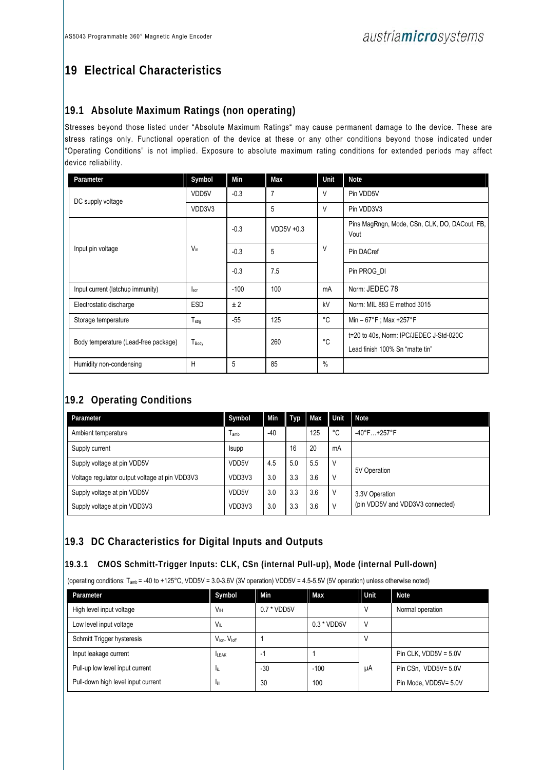# **19 Electrical Characteristics**

### **19.1 Absolute Maximum Ratings (non operating)**

Stresses beyond those listed under "Absolute Maximum Ratings" may cause permanent damage to the device. These are stress ratings only. Functional operation of the device at these or any other conditions beyond those indicated under "Operating Conditions" is not implied. Exposure to absolute maximum rating conditions for extended periods may affect device reliability.

| Parameter                            | Symbol            | Min    | Max          | Unit   | <b>Note</b>                                                                |
|--------------------------------------|-------------------|--------|--------------|--------|----------------------------------------------------------------------------|
| DC supply voltage                    | VDD5V             | $-0.3$ | 7            | V      | Pin VDD5V                                                                  |
|                                      | VDD3V3            |        | 5            | $\vee$ | Pin VDD3V3                                                                 |
|                                      |                   | $-0.3$ | $VDD5V +0.3$ |        | Pins MagRngn, Mode, CSn, CLK, DO, DACout, FB,<br>Vout                      |
| Input pin voltage                    | $V_{in}$          | $-0.3$ | 5            | V      | Pin DACref                                                                 |
|                                      |                   | $-0.3$ | 7.5          |        | Pin PROG DI                                                                |
| Input current (latchup immunity)     | <b>Iscr</b>       | $-100$ | 100          | mA     | Norm: JEDEC 78                                                             |
| Electrostatic discharge              | <b>ESD</b>        | ±2     |              | kV     | Norm: MIL 883 E method 3015                                                |
| Storage temperature                  | $T_{\text{strg}}$ | $-55$  | 125          | °C     | Min $-67^{\circ}$ F; Max +257 $^{\circ}$ F                                 |
| Body temperature (Lead-free package) | T <sub>Body</sub> |        | 260          | °C     | t=20 to 40s, Norm: IPC/JEDEC J-Std-020C<br>Lead finish 100% Sn "matte tin" |
| Humidity non-condensing              | H                 | 5      | 85           | $\%$   |                                                                            |

## **19.2 Operating Conditions**

| Parameter                                      | Symbol       | Min   | Typ | Max | Unit | <b>Note</b>                      |  |
|------------------------------------------------|--------------|-------|-----|-----|------|----------------------------------|--|
| Ambient temperature                            | I amb        | $-40$ |     | 125 | °C   | $-40^{\circ}$ F +257°F           |  |
| Supply current                                 | <b>Isupp</b> |       | 16  | 20  | mA   |                                  |  |
| Supply voltage at pin VDD5V                    | VDD5V        | 4.5   | 5.0 | 5.5 | V    | 5V Operation                     |  |
| Voltage regulator output voltage at pin VDD3V3 | VDD3V3       | 3.0   | 3.3 | 3.6 | V    |                                  |  |
| Supply voltage at pin VDD5V                    | VDD5V        | 3.0   | 3.3 | 3.6 | V    | 3.3V Operation                   |  |
| Supply voltage at pin VDD3V3                   | VDD3V3       | 3.0   | 3.3 | 3.6 | V    | (pin VDD5V and VDD3V3 connected) |  |

### **19.3 DC Characteristics for Digital Inputs and Outputs**

### **19.3.1 CMOS Schmitt-Trigger Inputs: CLK, CSn (internal Pull-up), Mode (internal Pull-down)**

(operating conditions: Tamb = -40 to +125°C, VDD5V = 3.0-3.6V (3V operation) VDD5V = 4.5-5.5V (5V operation) unless otherwise noted)

| Parameter                          | Symbol                               | Min           | Max           | Unit | <b>Note</b>             |
|------------------------------------|--------------------------------------|---------------|---------------|------|-------------------------|
| High level input voltage           | <b>V<sub>IH</sub></b>                | $0.7 * VDD5V$ |               |      | Normal operation        |
| Low level input voltage            | $V_{\parallel}$                      |               | $0.3 * VDD5V$ |      |                         |
| Schmitt Trigger hysteresis         | $V_{\text{lon}}$ . $V_{\text{loff}}$ |               |               |      |                         |
| Input leakage current              | <b>ILEAK</b>                         | ۰             |               |      | Pin CLK, $VDD5V = 5.0V$ |
| Pull-up low level input current    | -lit                                 | $-30$         | $-100$        | μA   | Pin CSn, VDD5V= 5.0V    |
| Pull-down high level input current | lіН                                  | 30            | 100           |      | Pin Mode, VDD5V= 5.0V   |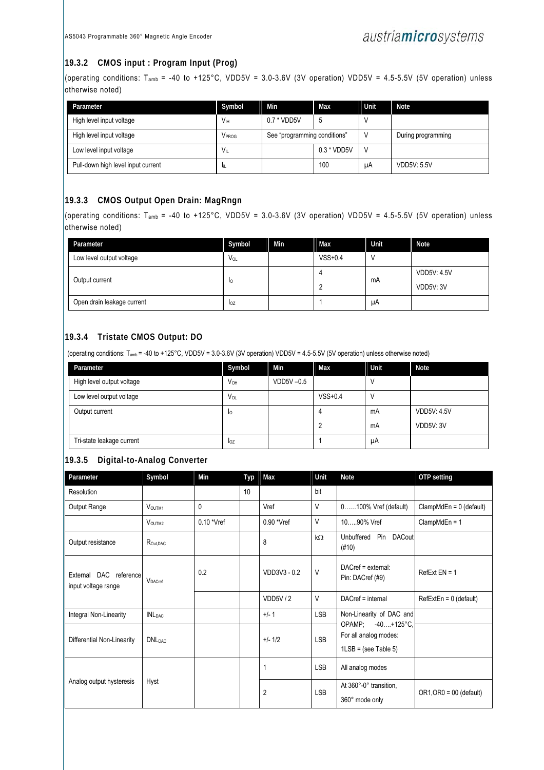### **19.3.2 CMOS input : Program Input (Prog)**

(operating conditions: T<sub>amb</sub> = -40 to +125°C, VDD5V = 3.0-3.6V (3V operation) VDD5V = 4.5-5.5V (5V operation) unless otherwise noted)

| Parameter                          | Symbol          | Min                          | Max | Unit | <b>Note</b>        |
|------------------------------------|-----------------|------------------------------|-----|------|--------------------|
| High level input voltage           | V <sub>IH</sub> | $0.7 * VDD5V$<br>b           |     |      |                    |
| High level input voltage           | VPROG           | See "programming conditions" |     |      | During programming |
| Low level input voltage            | $V_{\parallel}$ | 0.3 * VDD5V                  |     |      |                    |
| Pull-down high level input current | ш               |                              | 100 | μA   | <b>VDD5V: 5.5V</b> |

### **19.3.3 CMOS Output Open Drain: MagRngn**

(operating conditions: T<sub>amb</sub> = -40 to +125°C, VDD5V = 3.0-3.6V (3V operation) VDD5V = 4.5-5.5V (5V operation) unless otherwise noted)

| Parameter                  | Symbol   | Min | Max       | <b>Unit</b> | <b>Note</b>                     |
|----------------------------|----------|-----|-----------|-------------|---------------------------------|
| Low level output voltage   | $V_{OL}$ |     | $VSS+0.4$ |             |                                 |
| Output current             | 10       |     |           | mA          | <b>VDD5V: 4.5V</b><br>VDD5V: 3V |
| Open drain leakage current | loz      |     |           | μA          |                                 |

### **19.3.4 Tristate CMOS Output: DO**

(operating conditions: Tamb = -40 to +125°C, VDD5V = 3.0-3.6V (3V operation) VDD5V = 4.5-5.5V (5V operation) unless otherwise noted)

| Parameter                 | Symbol   | Min          | Max       | Unit | <b>Note</b>        |
|---------------------------|----------|--------------|-----------|------|--------------------|
| High level output voltage | $V_{OH}$ | $VDD5V -0.5$ |           |      |                    |
| Low level output voltage  | Vol      |              | $VSS+0.4$ |      |                    |
| Output current            | Iо       |              |           | mA   | <b>VDD5V: 4.5V</b> |
|                           |          |              |           | mA   | VDD5V: 3V          |
| Tri-state leakage current | loz      |              |           | μA   |                    |

### **19.3.5 Digital-to-Analog Converter**

| Parameter                  | Symbol                            | Min          | <b>Typ</b> | Max            | Unit       | Note                                                                 | OTP setting               |
|----------------------------|-----------------------------------|--------------|------------|----------------|------------|----------------------------------------------------------------------|---------------------------|
| Resolution                 |                                   |              | 10         |                | bit        |                                                                      |                           |
| Output Range               | VOUTM1                            | $\mathbf{0}$ |            | Vref           | V          | 0100% Vref (default)                                                 | $ClampMdEn = 0$ (default) |
|                            | VOUTM2                            | $0.10$ *Vref |            | 0.90 *Vref     | V          | 1090% Vref                                                           | $ClampMdEn = 1$           |
| Output resistance          | R <sub>Out</sub> , DAC            |              |            | 8              | $k\Omega$  | Unbuffered Pin DACout<br>(#10)                                       |                           |
| input voltage range        | External DAC reference<br>VDACref |              |            | VDD3V3 - 0.2   | V          | DACref = external:<br>Pin: DACref (#9)                               | $RefExt EN = 1$           |
|                            |                                   |              |            | VDD5V/2        | V          | DACref = internal                                                    | $RefExtEn = 0$ (default)  |
| Integral Non-Linearity     | <b>INL</b> DAC                    |              |            | $+/- 1$        | <b>LSB</b> | Non-Linearity of DAC and                                             |                           |
| Differential Non-Linearity | <b>DNL</b> DAC                    |              |            | $+/- 1/2$      | <b>LSB</b> | OPAMP; -40+125°C.<br>For all analog modes:<br>$1LSB = (see Table 5)$ |                           |
|                            |                                   |              |            |                | <b>LSB</b> | All analog modes                                                     |                           |
| Analog output hysteresis   | Hyst                              |              |            | $\overline{2}$ | <b>LSB</b> | At 360°-0° transition,<br>360° mode only                             | $OR1, OR0 = 00$ (default) |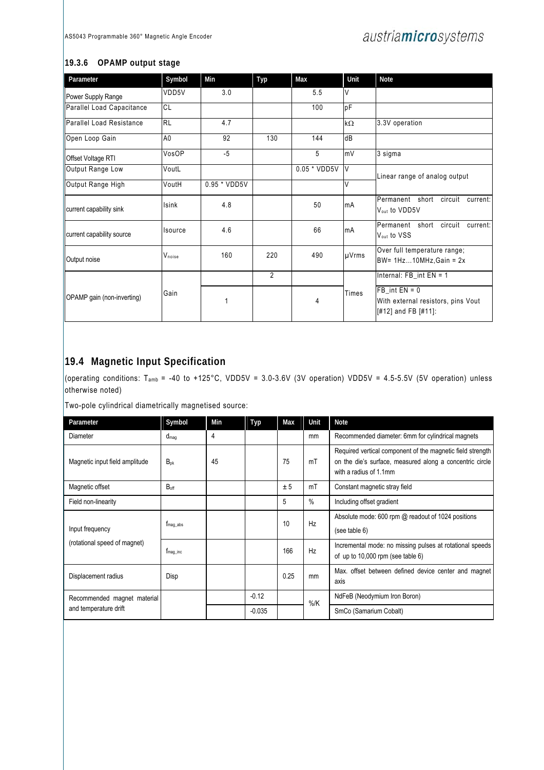### **19.3.6 OPAMP output stage**

| Parameter                       | Symbol         | Min            | Typ            | Max          | Unit      | <b>Note</b>                                                                         |
|---------------------------------|----------------|----------------|----------------|--------------|-----------|-------------------------------------------------------------------------------------|
| Power Supply Range              | VDD5V          | 3.0            |                | 5.5          | V         |                                                                                     |
| Parallel Load Capacitance       | CL             |                |                | 100          | pF        |                                                                                     |
| <b>Parallel Load Resistance</b> | <b>RL</b>      | 4.7            |                |              | $k\Omega$ | 3.3V operation                                                                      |
| Open Loop Gain                  | A <sub>0</sub> | 92             | 130            | 144          | dB        |                                                                                     |
| Offset Voltage RTI              | VosOP          | $-5$           |                | 5            | mV        | 3 sigma                                                                             |
| Output Range Low                | VoutL          |                |                | 0.05 * VDD5V | <b>V</b>  | Linear range of analog output                                                       |
| Output Range High               | VoutH          | $0.95 * VDD5V$ |                |              | V         |                                                                                     |
| current capability sink         | Isink          | 4.8            |                | 50           | mA        | Permanent short<br>circuit<br>current:<br>V <sub>out</sub> to VDD5V                 |
| current capability source       | Isource        | 4.6            |                | 66           | mA        | Permanent short circuit<br>current:<br>$V_{out}$ to VSS                             |
| Output noise                    | Vnoise         | 160            | 220            | 490          | µVrms     | Over full temperature range;<br>$BW = 1Hz10MHz$ , Gain = 2x                         |
|                                 |                |                | $\overline{2}$ |              |           | Internal: $FB\_int EN = 1$                                                          |
| OPAMP gain (non-inverting)      | Gain           |                |                | 4            | Times     | $FB$ int $EN = 0$<br>With external resistors, pins Vout<br>$[#12]$ and FB $[#11]$ : |

### **19.4 Magnetic Input Specification**

(operating conditions: T<sub>amb</sub> = -40 to +125°C, VDD5V = 3.0-3.6V (3V operation) VDD5V = 4.5-5.5V (5V operation) unless otherwise noted)

Two-pole cylindrical diametrically magnetised source:

| Parameter                      | Symbol               | Min | Typ      | Max  | Unit          | <b>Note</b>                                                                                                                                      |
|--------------------------------|----------------------|-----|----------|------|---------------|--------------------------------------------------------------------------------------------------------------------------------------------------|
| Diameter                       | $d_{mag}$            | 4   |          |      | mm            | Recommended diameter: 6mm for cylindrical magnets                                                                                                |
| Magnetic input field amplitude | $B_{\text{pk}}$      | 45  |          | 75   | mT            | Required vertical component of the magnetic field strength<br>on the die's surface, measured along a concentric circle<br>with a radius of 1.1mm |
| Magnetic offset                | $B_{\text{off}}$     |     |          | ± 5  | mT            | Constant magnetic stray field                                                                                                                    |
| Field non-linearity            |                      |     |          | 5    | $\frac{0}{0}$ | Including offset gradient                                                                                                                        |
| Input frequency                | T <sub>mag</sub> abs |     |          | 10   | Hz            | Absolute mode: 600 rpm @ readout of 1024 positions<br>(see table 6)                                                                              |
| (rotational speed of magnet)   | T <sub>mag</sub> inc |     |          | 166  | Hz            | Incremental mode: no missing pulses at rotational speeds<br>of up to $10,000$ rpm (see table $6)$                                                |
| Displacement radius            | Disp                 |     |          | 0.25 | mm            | Max. offset between defined device center and magnet<br>axis                                                                                     |
| Recommended magnet material    |                      |     | $-0.12$  |      | $%$ /K        | NdFeB (Neodymium Iron Boron)                                                                                                                     |
| and temperature drift          |                      |     | $-0.035$ |      |               | SmCo (Samarium Cobalt)                                                                                                                           |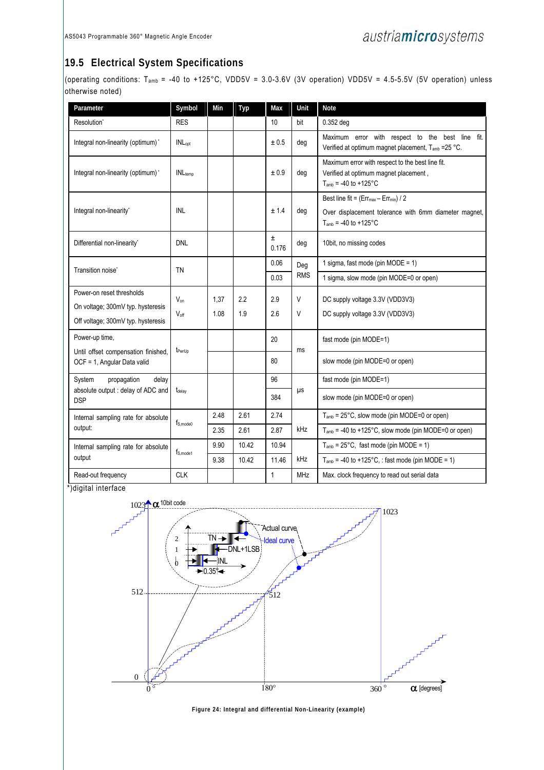### **19.5 Electrical System Specifications**

(operating conditions: T<sub>amb</sub> = -40 to +125°C, VDD5V = 3.0-3.6V (3V operation) VDD5V = 4.5-5.5V (5V operation) unless otherwise noted)

| Parameter                                                                                            | Symbol                            | Min          | Typ        | Max         | Unit       | <b>Note</b>                                                                                                                         |
|------------------------------------------------------------------------------------------------------|-----------------------------------|--------------|------------|-------------|------------|-------------------------------------------------------------------------------------------------------------------------------------|
| Resolution*                                                                                          | <b>RES</b>                        |              |            | 10          | bit        | 0.352 deg                                                                                                                           |
| Integral non-linearity (optimum)*                                                                    | <b>INL</b> <sub>opt</sub>         |              |            | ± 0.5       | deg        | Maximum error with respect to the best line fit.<br>Verified at optimum magnet placement, T <sub>amb</sub> = 25 °C.                 |
| Integral non-linearity (optimum)*                                                                    | <b>INL</b> temp                   |              |            | ± 0.9       | deg        | Maximum error with respect to the best line fit.<br>Verified at optimum magnet placement,<br>$T_{amb}$ = -40 to +125°C              |
| Integral non-linearity*                                                                              | <b>INL</b>                        |              |            | ± 1.4       | deg        | Best line fit = $(Err_{max} - Err_{min})$ / 2<br>Over displacement tolerance with 6mm diameter magnet,<br>$T_{amb}$ = -40 to +125°C |
| Differential non-linearity*                                                                          | <b>DNL</b>                        |              |            | ±.<br>0.176 | deg        | 10bit, no missing codes                                                                                                             |
| Transition noise*                                                                                    | <b>TN</b>                         |              |            | 0.06        | Deg        | 1 sigma, fast mode (pin MODE = 1)                                                                                                   |
|                                                                                                      |                                   |              |            | 0.03        | <b>RMS</b> | 1 sigma, slow mode (pin MODE=0 or open)                                                                                             |
| Power-on reset thresholds<br>On voltage; 300mV typ. hysteresis<br>Off voltage; 300mV typ. hysteresis | $V_{on}$<br>$V_{\text{off}}$      | 1.37<br>1.08 | 2.2<br>1.9 | 2.9<br>2.6  | V<br>V     | DC supply voltage 3.3V (VDD3V3)<br>DC supply voltage 3.3V (VDD3V3)                                                                  |
| Power-up time,                                                                                       |                                   |              |            | 20          |            | fast mode (pin MODE=1)                                                                                                              |
| Until offset compensation finished,<br>OCF = 1, Angular Data valid                                   | t <sub>Pwr∪p</sub>                |              |            | 80          | ms         | slow mode (pin MODE=0 or open)                                                                                                      |
| propagation<br>System<br>delay                                                                       |                                   |              |            | 96          |            | fast mode (pin MODE=1)                                                                                                              |
| absolute output : delay of ADC and<br><b>DSP</b>                                                     | t <sub>delay</sub>                |              |            | 384         | μs         | slow mode (pin MODE=0 or open)                                                                                                      |
| Internal sampling rate for absolute                                                                  |                                   | 2.48         | 2.61       | 2.74        |            | T <sub>amb</sub> = 25°C, slow mode (pin MODE=0 or open)                                                                             |
| output:                                                                                              | f <sub>S, mode</sub> <sub>0</sub> | 2.35         | 2.61       | 2.87        | kHz        | $T_{amb}$ = -40 to +125°C, slow mode (pin MODE=0 or open)                                                                           |
| Internal sampling rate for absolute                                                                  |                                   | 9.90         | 10.42      | 10.94       |            | $T_{amb} = 25^{\circ}$ C, fast mode (pin MODE = 1)                                                                                  |
| output                                                                                               | ts.mode1                          | 9.38         | 10.42      | 11.46       | kHz        | $T_{amb}$ = -40 to +125°C, : fast mode (pin MODE = 1)                                                                               |
| Read-out frequency                                                                                   | <b>CLK</b>                        |              |            | 1           | <b>MHz</b> | Max. clock frequency to read out serial data                                                                                        |

\*)digital interface



**Figure 24: Integral and differential Non-Linearity (example)**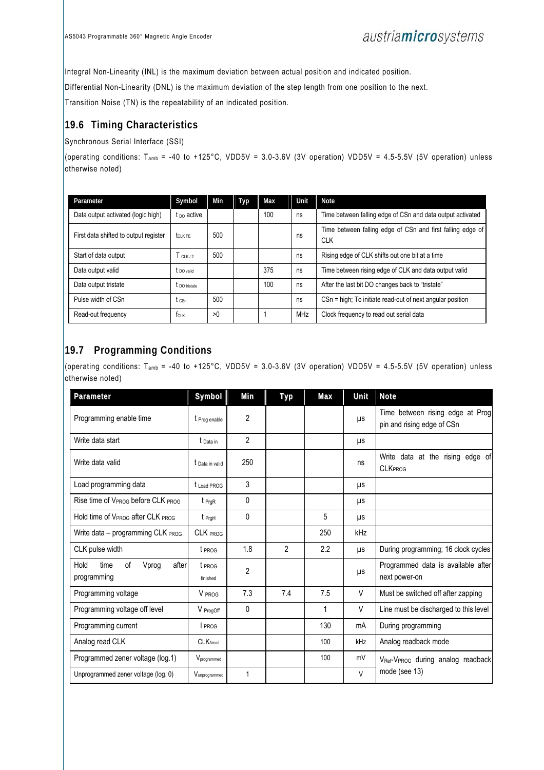Integral Non-Linearity (INL) is the maximum deviation between actual position and indicated position.

Differential Non-Linearity (DNL) is the maximum deviation of the step length from one position to the next.

Transition Noise (TN) is the repeatability of an indicated position.

### **19.6 Timing Characteristics**

#### Synchronous Serial Interface (SSI)

(operating conditions:  $T_{amb}$  = -40 to +125°C, VDD5V = 3.0-3.6V (3V operation) VDD5V = 4.5-5.5V (5V operation) unless otherwise noted)

| Parameter                             | Symbol                 | Min | Typ | Max | Unit | <b>Note</b>                                                              |
|---------------------------------------|------------------------|-----|-----|-----|------|--------------------------------------------------------------------------|
| Data output activated (logic high)    | $t_{\text{DO}}$ active |     |     | 100 | ns   | Time between falling edge of CSn and data output activated               |
| First data shifted to output register | $t_{CIKFF}$            | 500 |     |     | ns   | Time between falling edge of CSn and first falling edge of<br><b>CLK</b> |
| Start of data output                  | T <sub>ClK/2</sub>     | 500 |     |     | ns   | Rising edge of CLK shifts out one bit at a time                          |
| Data output valid                     | t <sub>DO valid</sub>  |     |     | 375 | ns   | Time between rising edge of CLK and data output valid                    |
| Data output tristate                  | t no tristate          |     |     | 100 | ns   | After the last bit DO changes back to "tristate"                         |
| Pulse width of CSn                    | t csn.                 | 500 |     |     | ns   | CSn = high; To initiate read-out of next angular position                |
| Read-out frequency                    | $f_{CLK}$              | >0  |     |     | MHz  | Clock frequency to read out serial data                                  |

### **19.7 Programming Conditions**

(operating conditions: T<sub>amb</sub> = -40 to +125°C, VDD5V = 3.0-3.6V (3V operation) VDD5V = 4.5-5.5V (5V operation) unless otherwise noted)

| Parameter                                           | Symbol             | Min            | Typ | Max          | Unit   | <b>Note</b>                                                    |  |
|-----------------------------------------------------|--------------------|----------------|-----|--------------|--------|----------------------------------------------------------------|--|
| Programming enable time                             | t Prog enable      | 2              |     |              | μs     | Time between rising edge at Prog<br>pin and rising edge of CSn |  |
| Write data start                                    | t Data in          | $\overline{2}$ |     |              | μs     |                                                                |  |
| Write data valid                                    | t Data in valid    | 250            |     |              | ns     | Write data at the rising edge of<br><b>CLKPROG</b>             |  |
| Load programming data                               | t Load PROG        | 3              |     |              | μs     |                                                                |  |
| Rise time of VPROG before CLK PROG                  | $t_{PrgR}$         | $\mathbf{0}$   |     |              | μs     |                                                                |  |
| Hold time of VPROG after CLK PROG                   | t PrgH             | $\Omega$       |     | 5            | μs     |                                                                |  |
| Write data - programming CLK PROG                   | CLK PROG           |                |     | 250          | kHz    |                                                                |  |
| CLK pulse width                                     | t PROG             | 1.8            | 2   | 2.2          | μs     | During programming; 16 clock cycles                            |  |
| Hold<br>οf<br>Vprog<br>after<br>time<br>programming | t PROG<br>finished | $\overline{2}$ |     |              | μs     | Programmed data is available after<br>next power-on            |  |
| Programming voltage                                 | V PROG             | 7.3            | 7.4 | 7.5          | $\vee$ | Must be switched off after zapping                             |  |
| Programming voltage off level                       | V ProgOff          | $\mathbf{0}$   |     | $\mathbf{1}$ | $\vee$ | Line must be discharged to this level                          |  |
| Programming current                                 | I PROG             |                |     | 130          | mA     | During programming                                             |  |
| Analog read CLK                                     | <b>CLK</b> Aread   |                |     | 100          | kHz    | Analog readback mode                                           |  |
| Programmed zener voltage (log.1)                    | Vprogrammed        |                |     | 100          | mV     | V <sub>Ref</sub> -V <sub>PROG</sub> during analog readback     |  |
| Unprogrammed zener voltage (log. 0)                 | Vunprogrammed      | 1              |     |              | $\vee$ | mode (see 13)                                                  |  |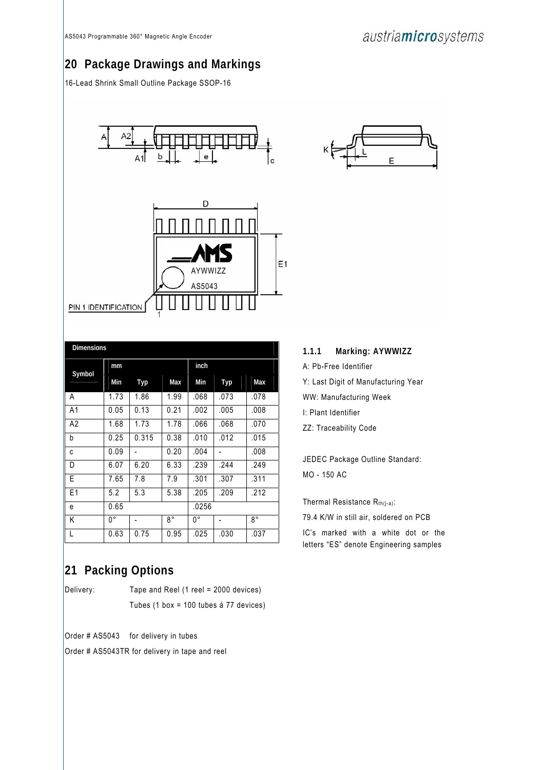## **20 Package Drawings and Markings**

16-Lead Shrink Small Outline Package SSOP-16



| <b>Dimensions</b> |      |       |      |       |      |      |  |  |  |
|-------------------|------|-------|------|-------|------|------|--|--|--|
| Symbol            | mm   |       |      | inch  |      |      |  |  |  |
|                   | Min  | Typ   | Max  | Min   | Typ  | Max  |  |  |  |
| A                 | 1.73 | 1.86  | 1.99 | .068  | .073 | .078 |  |  |  |
| A1                | 0.05 | 0.13  | 0.21 | .002  | .005 | .008 |  |  |  |
| A <sub>2</sub>    | 1.68 | 1.73  | 1.78 | .066  | .068 | .070 |  |  |  |
| b                 | 0.25 | 0.315 | 0.38 | .010  | .012 | .015 |  |  |  |
| C                 | 0.09 |       | 0.20 | .004  |      | .008 |  |  |  |
| D                 | 6.07 | 6.20  | 6.33 | .239  | .244 | .249 |  |  |  |
| E                 | 7.65 | 7.8   | 7.9  | .301  | .307 | .311 |  |  |  |
| E1                | 5.2  | 5.3   | 5.38 | .205  | .209 | .212 |  |  |  |
| e                 | 0.65 |       |      | .0256 |      |      |  |  |  |
| Κ                 | 0°   |       | 8°   | 0°    |      | 8°   |  |  |  |
| L                 | 0.63 | 0.75  | 0.95 | .025  | .030 | .037 |  |  |  |

## **21 Packing Options**

Delivery: Tape and Reel (1 reel = 2000 devices) Tubes (1 box = 100 tubes á 77 devices)

Order # AS5043 for delivery in tubes

Order # AS5043TR for delivery in tape and reel



| 1.1.1 |  | Marking: AYWWIZZ |
|-------|--|------------------|
|-------|--|------------------|

A: Pb-Free Identifier

Y: Last Digit of Manufacturing Year

WW: Manufacturing Week

I: Plant Identifier

ZZ: Traceability Code

JEDEC Package Outline Standard: MO - 150 AC

Thermal Resistance  $R_{th(j-a)}$ :

79.4 K/W in still air, soldered on PCB

IC's marked with a white dot or the letters "ES" denote Engineering samples